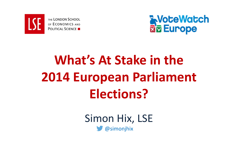

THE LONDON SCHOOL OF ECONOMICS AND **POLITICAL SCIENCE** 



# **What's At Stake in the 2014 European Parliament Elections?**

Simon Hix, LSE @simonjhix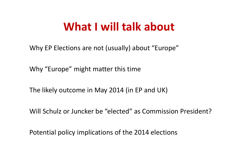### **What I will talk about**

Why EP Elections are not (usually) about "Europe"

Why "Europe" might matter this time

The likely outcome in May 2014 (in EP and UK)

Will Schulz or Juncker be "elected" as Commission President?

Potential policy implications of the 2014 elections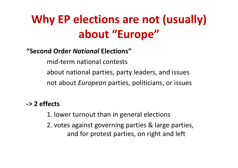# **Why EP elections are not (usually) about "Europe"**

#### **"Second Order** *National* **Elections"**

mid‐term national contests about national parties, party leaders, and issues not about *European* parties, politicians, or issues

#### **‐> 2 effects**

- 1. lower turnout than in general elections
- 2. votes against governing parties & large parties, and for protest parties, on right and left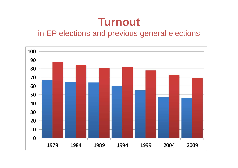### **Turnout**

#### in EP elections and previous general elections

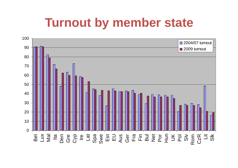# **Turnout by member state**

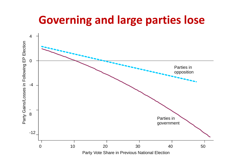### **Governing and large parties lose**

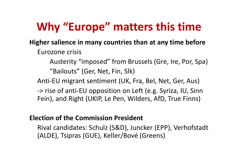# **Why "Europe" matters this time**

#### **Higher salience in many countries than at any time before**

Eurozone crisis

Austerity "imposed" from Brussels (Gre, Ire, Por, Spa) "Bailouts" (Ger, Net, Fin, Slk)

Anti‐EU migrant sentiment (UK, Fra, Bel, Net, Ger, Aus)

‐> rise of anti‐EU opposition on Left (e.g. Syriza, IU, Sinn Fein), and Right (UKIP, Le Pen, Wilders, AfD, True Finns)

#### **Election of the Commission President**

Rival candidates: Schulz (S&D), Juncker (EPP), Verhofstadt (ALDE), Tsipras (GUE), Keller/Bové (Greens)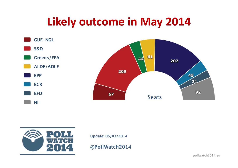### **Likely outcome in May 2014**





Update: 05/03/2014

@PollWatch2014

pollwatch2014.eu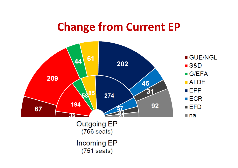### **Change from Current EP**



 $(751$  seats)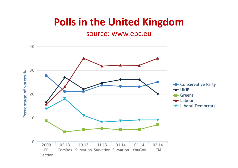### **Polls in the United Kingdom**

#### source: www.epc.eu

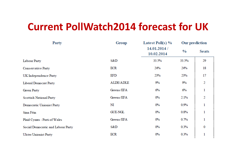### **Current PollWatch2014 forecast for UK**

| <b>Party</b>                       | Group            | Latest Poll(s) $\%$        | <b>Our prediction</b> |              |
|------------------------------------|------------------|----------------------------|-----------------------|--------------|
|                                    |                  | 14.01.2014 /<br>10.02.2014 | $\frac{0}{0}$         | <b>Seats</b> |
| Labour Party                       | S&D              | 33.5%                      | 33.5%                 | 29           |
| Conservative Party                 | ECR              | 24%                        | 24%                   | 18           |
| UK Independence Party              | EFD              | 23%                        | 23%                   | 17           |
| Liberal Democrat Party             | <b>ALDE/ADLE</b> | $9\%$                      | $9\%$                 | 2            |
| Green Party                        | Greens/EFA       | 6%                         | $6\%$                 | 1            |
| <b>Scottish National Party</b>     | Greens/EFA       | $0\%$                      | 2.1%                  | 2            |
| Democratic Unionist Party          | NI               | $0\%$                      | 0.9%                  | 1            |
| Sinn Féin                          | <b>GUE-NGL</b>   | $0\%$                      | 0.8%                  | 1            |
| Plaid Cymru - Parti of Wales       | Greens/EFA       | $0\%$                      | 0.7%                  | 1            |
| Social Democratic and Labour Party | S&D              | $0\%$                      | 0.3%                  | 0            |
| <b>Ulster Unionist Party</b>       | <b>ECR</b>       | $0\%$                      | 0.3%                  | 1            |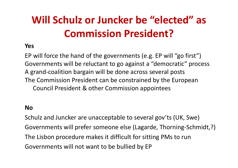# **Will Schulz or Juncker be "elected" as Commission President?**

#### **Yes**

EP will force the hand of the governments (e.g. EP will "go first") Governments will be reluctant to go against <sup>a</sup> "democratic" process A grand‐coalition bargain will be done across several posts The Commission President can be constrained by the European Council President & other Commission appointees

#### **No**

Schulz and Juncker are unacceptable to several gov'ts (UK, Swe) Governments will prefer someone else (Lagarde, Thorning‐Schmidt,?) The Lisbon procedure makes it difficult for sitting PMs to run Governments will not want to be bullied by EP